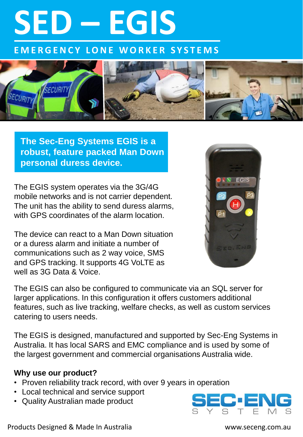# **SED – EGIS**

**E M E R G E N C Y L O N E W O R K E R S Y S T E M S**



**The Sec-Eng Systems EGIS is a robust, feature packed Man Down personal duress device.**

The EGIS system operates via the 3G/4G mobile networks and is not carrier dependent. The unit has the ability to send duress alarms, with GPS coordinates of the alarm location.

The device can react to a Man Down situation or a duress alarm and initiate a number of communications such as 2 way voice, SMS and GPS tracking. It supports 4G VoLTE as well as 3G Data & Voice.



The EGIS can also be configured to communicate via an SQL server for larger applications. In this configuration it offers customers additional features, such as live tracking, welfare checks, as well as custom services catering to users needs.

The EGIS is designed, manufactured and supported by Sec-Eng Systems in Australia. It has local SARS and EMC compliance and is used by some of the largest government and commercial organisations Australia wide.

### **Why use our product?**

- Proven reliability track record, with over 9 years in operation
- Local technical and service support
- Quality Australian made product



Products Designed & Made In Australia www.seceng.com.au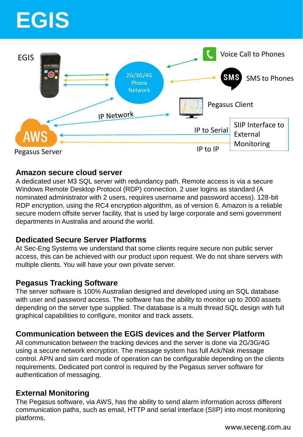# **EGIS**



### **Amazon secure cloud server**

A dedicated user M3 SQL server with redundancy path. Remote access is via a secure Windows Remote Desktop Protocol (RDP) connection. 2 user logins as standard (A nominated administrator with 2 users, requires username and password access). 128-bit RDP encryption, using the RC4 encryption algorithm, as of version 6. Amazon is a reliable secure modern offsite server facility, that is used by large corporate and semi government departments in Australia and around the world.

# **Dedicated Secure Server Platforms**

At Sec-Eng Systems we understand that some clients require secure non public server access, this can be achieved with our product upon request. We do not share servers with multiple clients. You will have your own private server.

### **Pegasus Tracking Software**

The server software is 100% Australian designed and developed using an SQL database with user and password access. The software has the ability to monitor up to 2000 assets depending on the server type supplied. The database is a multi thread SQL design with full graphical capabilities to configure, monitor and track assets.

# **Communication between the EGIS devices and the Server Platform**

All communication between the tracking devices and the server is done via 2G/3G/4G using a secure network encryption. The message system has full Ack/Nak message control. APN and sim card mode of operation can be configurable depending on the clients requirements. Dedicated port control is required by the Pegasus server software for authentication of messaging.

# **External Monitoring**

The Pegasus software, via AWS, has the ability to send alarm information across different communication paths, such as email, HTTP and serial interface (SIIP) into most monitoring platforms.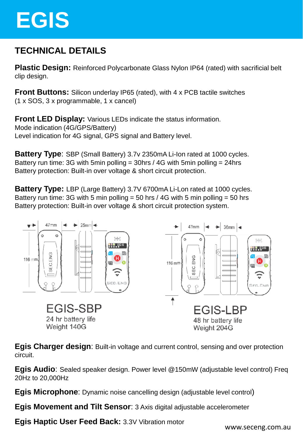# **EGIS**

# **TECHNICAL DETAILS**

**Plastic Design:** Reinforced Polycarbonate Glass Nylon IP64 (rated) with sacrificial belt clip design.

**Front Buttons:** Silicon underlay IP65 (rated), with 4 x PCB tactile switches (1 x SOS, 3 x programmable, 1 x cancel)

**Front LED Display:** Various LEDs indicate the status information. Mode indication (4G/GPS/Battery) Level indication for 4G signal, GPS signal and Battery level.

**Battery Type**: SBP (Small Battery) 3.7v 2350mA Li-Ion rated at 1000 cycles. Battery run time: 3G with 5min polling = 30hrs / 4G with 5min polling = 24hrs Battery protection: Built-in over voltage & short circuit protection.

**Battery Type:** LBP (Large Battery) 3.7V 6700mA Li-Lon rated at 1000 cycles. Battery run time: 3G with 5 min polling = 50 hrs  $/$  4G with 5 min polling = 50 hrs Battery protection: Built-in over voltage & short circuit protection system.



**Egis Charger design**: Built-in voltage and current control, sensing and over protection circuit.

**Egis Audio**: Sealed speaker design. Power level @150mW (adjustable level control) Freq 20Hz to 20,000Hz

**Egis Microphone**: Dynamic noise cancelling design (adjustable level control)

**Egis Movement and Tilt Sensor**: 3 Axis digital adjustable accelerometer

**Egis Haptic User Feed Back:** 3.3V Vibration motor

www.seceng.com.au